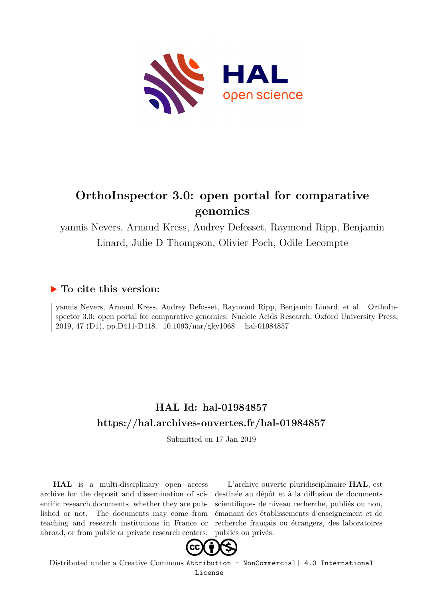

# **OrthoInspector 3.0: open portal for comparative genomics**

yannis Nevers, Arnaud Kress, Audrey Defosset, Raymond Ripp, Benjamin Linard, Julie D Thompson, Olivier Poch, Odile Lecompte

## **To cite this version:**

yannis Nevers, Arnaud Kress, Audrey Defosset, Raymond Ripp, Benjamin Linard, et al.. OrthoInspector 3.0: open portal for comparative genomics. Nucleic Acids Research, Oxford University Press, 2019, 47 (D1), pp.D411-D418.  $10.1093/nar/gky1068$ . hal-01984857

# **HAL Id: hal-01984857 <https://hal.archives-ouvertes.fr/hal-01984857>**

Submitted on 17 Jan 2019

**HAL** is a multi-disciplinary open access archive for the deposit and dissemination of scientific research documents, whether they are published or not. The documents may come from teaching and research institutions in France or abroad, or from public or private research centers.

L'archive ouverte pluridisciplinaire **HAL**, est destinée au dépôt et à la diffusion de documents scientifiques de niveau recherche, publiés ou non, émanant des établissements d'enseignement et de recherche français ou étrangers, des laboratoires publics ou privés.



Distributed under a Creative Commons [Attribution - NonCommercial| 4.0 International](http://creativecommons.org/licenses/by-nc/4.0/) [License](http://creativecommons.org/licenses/by-nc/4.0/)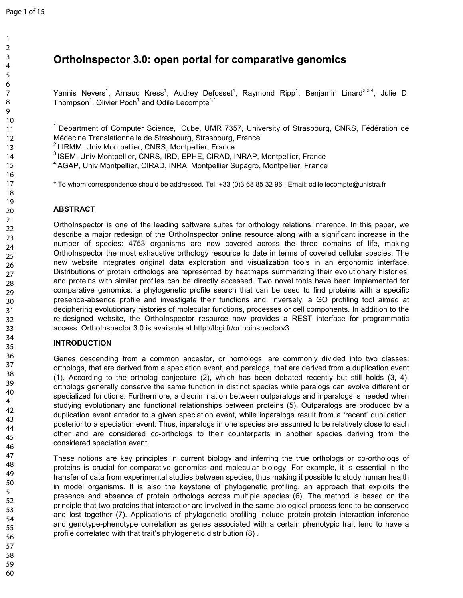## **OrthoInspector 3.0: open portal for comparative genomics**

Yannis Nevers<sup>1</sup>, Arnaud Kress<sup>1</sup>, Audrey Defosset<sup>1</sup>, Raymond Ripp<sup>1</sup>, Benjamin Linard<sup>2,3,4</sup>, Julie D. Thompson<sup>1</sup>, Olivier Poch<sup>1</sup> and Odile Lecompte<sup>1,\*</sup>

<sup>1</sup> Department of Computer Science, ICube, UMR 7357, University of Strasbourg, CNRS, Fédération de Médecine Translationnelle de Strasbourg, Strasbourg, France

<sup>2</sup> LIRMM, Univ Montpellier, CNRS, Montpellier, France

<sup>3</sup> ISEM, Univ Montpellier, CNRS, IRD, EPHE, CIRAD, INRAP, Montpellier, France

<sup>4</sup> AGAP, Univ Montpellier, CIRAD, INRA, Montpellier Supagro, Montpellier, France

\* To whom correspondence should be addressed. Tel: +33 (0)3 68 85 32 96 ; Email: odile.lecompte@unistra.fr

#### **ABSTRACT**

OrthoInspector is one of the leading software suites for orthology relations inference. In this paper, we describe a major redesign of the OrthoInspector online resource along with a significant increase in the number of species: 4753 organisms are now covered across the three domains of life, making OrthoInspector the most exhaustive orthology resource to date in terms of covered cellular species. The new website integrates original data exploration and visualization tools in an ergonomic interface. Distributions of protein orthologs are represented by heatmaps summarizing their evolutionary histories, and proteins with similar profiles can be directly accessed. Two novel tools have been implemented for comparative genomics: a phylogenetic profile search that can be used to find proteins with a specific presence-absence profile and investigate their functions and, inversely, a GO profiling tool aimed at deciphering evolutionary histories of molecular functions, processes or cell components. In addition to the re-designed website, the OrthoInspector resource now provides a REST interface for programmatic access. OrthoInspector 3.0 is available at http://lbgi.fr/orthoinspectorv3.

#### **INTRODUCTION**

Genes descending from a common ancestor, or homologs, are commonly divided into two classes: orthologs, that are derived from a speciation event, and paralogs, that are derived from a duplication event (1). According to the ortholog conjecture (2), which has been debated recently but still holds (3, 4), orthologs generally conserve the same function in distinct species while paralogs can evolve different or specialized functions. Furthermore, a discrimination between outparalogs and inparalogs is needed when studying evolutionary and functional relationships between proteins (5). Outparalogs are produced by a duplication event anterior to a given speciation event, while inparalogs result from a 'recent' duplication, posterior to a speciation event. Thus, inparalogs in one species are assumed to be relatively close to each other and are considered co-orthologs to their counterparts in another species deriving from the considered speciation event.

These notions are key principles in current biology and inferring the true orthologs or co-orthologs of proteins is crucial for comparative genomics and molecular biology. For example, it is essential in the transfer of data from experimental studies between species, thus making it possible to study human health in model organisms. It is also the keystone of phylogenetic profiling, an approach that exploits the presence and absence of protein orthologs across multiple species (6). The method is based on the principle that two proteins that interact or are involved in the same biological process tend to be conserved and lost together (7). Applications of phylogenetic profiling include protein-protein interaction inference and genotype-phenotype correlation as genes associated with a certain phenotypic trait tend to have a profile correlated with that trait's phylogenetic distribution (8) .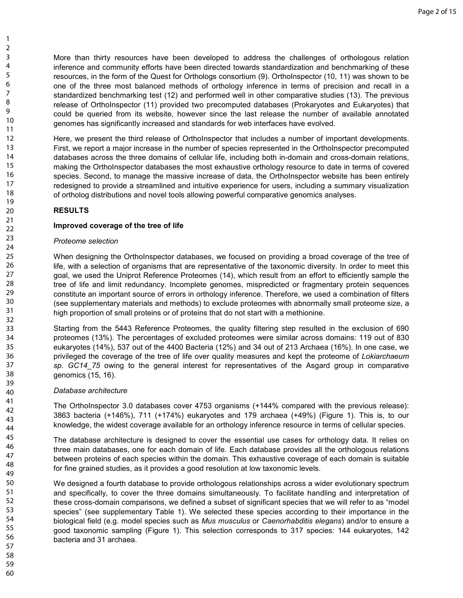More than thirty resources have been developed to address the challenges of orthologous relation inference and community efforts have been directed towards standardization and benchmarking of these resources, in the form of the Quest for Orthologs consortium (9). OrthoInspector (10, 11) was shown to be one of the three most balanced methods of orthology inference in terms of precision and recall in a standardized benchmarking test (12) and performed well in other comparative studies (13). The previous release of OrthoInspector (11) provided two precomputed databases (Prokaryotes and Eukaryotes) that could be queried from its website, however since the last release the number of available annotated genomes has significantly increased and standards for web interfaces have evolved.

Here, we present the third release of OrthoInspector that includes a number of important developments. First, we report a major increase in the number of species represented in the OrthoInspector precomputed databases across the three domains of cellular life, including both in-domain and cross-domain relations, making the OrthoInspector databases the most exhaustive orthology resource to date in terms of covered species. Second, to manage the massive increase of data, the OrthoInspector website has been entirely redesigned to provide a streamlined and intuitive experience for users, including a summary visualization of ortholog distributions and novel tools allowing powerful comparative genomics analyses.

#### **RESULTS**

#### **Improved coverage of the tree of life**

#### *Proteome selection*

When designing the OrthoInspector databases, we focused on providing a broad coverage of the tree of life, with a selection of organisms that are representative of the taxonomic diversity. In order to meet this goal, we used the Uniprot Reference Proteomes (14), which result from an effort to efficiently sample the tree of life and limit redundancy. Incomplete genomes, mispredicted or fragmentary protein sequences constitute an important source of errors in orthology inference. Therefore, we used a combination of filters (see supplementary materials and methods) to exclude proteomes with abnormally small proteome size, a high proportion of small proteins or of proteins that do not start with a methionine.

Starting from the 5443 Reference Proteomes, the quality filtering step resulted in the exclusion of 690 proteomes (13%). The percentages of excluded proteomes were similar across domains: 119 out of 830 eukaryotes (14%), 537 out of the 4400 Bacteria (12%) and 34 out of 213 Archaea (16%). In one case, we privileged the coverage of the tree of life over quality measures and kept the proteome of *Lokiarchaeum sp. GC14\_75* owing to the general interest for representatives of the Asgard group in comparative genomics (15, 16).

#### *Database architecture*

The OrthoInspector 3.0 databases cover 4753 organisms (+144% compared with the previous release): 3863 bacteria (+146%), 711 (+174%) eukaryotes and 179 archaea (+49%) (Figure 1). This is, to our knowledge, the widest coverage available for an orthology inference resource in terms of cellular species.

The database architecture is designed to cover the essential use cases for orthology data. It relies on three main databases, one for each domain of life. Each database provides all the orthologous relations between proteins of each species within the domain. This exhaustive coverage of each domain is suitable for fine grained studies, as it provides a good resolution at low taxonomic levels.

We designed a fourth database to provide orthologous relationships across a wider evolutionary spectrum and specifically, to cover the three domains simultaneously. To facilitate handling and interpretation of these cross-domain comparisons, we defined a subset of significant species that we will refer to as "model species" (see supplementary Table 1). We selected these species according to their importance in the biological field (e.g. model species such as *Mus musculus* or *Caenorhabditis elegans*) and/or to ensure a good taxonomic sampling (Figure 1). This selection corresponds to 317 species: 144 eukaryotes, 142 bacteria and 31 archaea.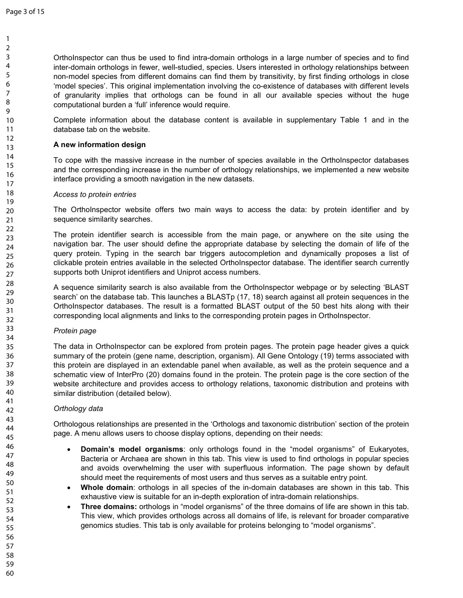OrthoInspector can thus be used to find intra-domain orthologs in a large number of species and to find inter-domain orthologs in fewer, well-studied, species. Users interested in orthology relationships between non-model species from different domains can find them by transitivity, by first finding orthologs in close 'model species'. This original implementation involving the co-existence of databases with different levels of granularity implies that orthologs can be found in all our available species without the huge computational burden a 'full' inference would require.

Complete information about the database content is available in supplementary Table 1 and in the database tab on the website.

#### **A new information design**

To cope with the massive increase in the number of species available in the OrthoInspector databases and the corresponding increase in the number of orthology relationships, we implemented a new website interface providing a smooth navigation in the new datasets.

#### *Access to protein entries*

The OrthoInspector website offers two main ways to access the data: by protein identifier and by sequence similarity searches.

The protein identifier search is accessible from the main page, or anywhere on the site using the navigation bar. The user should define the appropriate database by selecting the domain of life of the query protein. Typing in the search bar triggers autocompletion and dynamically proposes a list of clickable protein entries available in the selected OrthoInspector database. The identifier search currently supports both Uniprot identifiers and Uniprot access numbers.

A sequence similarity search is also available from the OrthoInspector webpage or by selecting 'BLAST search' on the database tab. This launches a BLASTp (17, 18) search against all protein sequences in the OrthoInspector databases. The result is a formatted BLAST output of the 50 best hits along with their corresponding local alignments and links to the corresponding protein pages in OrthoInspector.

#### *Protein page*

The data in OrthoInspector can be explored from protein pages. The protein page header gives a quick summary of the protein (gene name, description, organism). All Gene Ontology (19) terms associated with this protein are displayed in an extendable panel when available, as well as the protein sequence and a schematic view of InterPro (20) domains found in the protein. The protein page is the core section of the website architecture and provides access to orthology relations, taxonomic distribution and proteins with similar distribution (detailed below).

#### *Orthology data*

Orthologous relationships are presented in the 'Orthologs and taxonomic distribution' section of the protein page. A menu allows users to choose display options, depending on their needs:

- **Domain's model organisms**: only orthologs found in the "model organisms" of Eukaryotes, Bacteria or Archaea are shown in this tab. This view is used to find orthologs in popular species and avoids overwhelming the user with superfluous information. The page shown by default should meet the requirements of most users and thus serves as a suitable entry point.
- **Whole domain**: orthologs in all species of the in-domain databases are shown in this tab. This exhaustive view is suitable for an in-depth exploration of intra-domain relationships.
- **Three domains:** orthologs in "model organisms" of the three domains of life are shown in this tab. This view, which provides orthologs across all domains of life, is relevant for broader comparative genomics studies. This tab is only available for proteins belonging to "model organisms".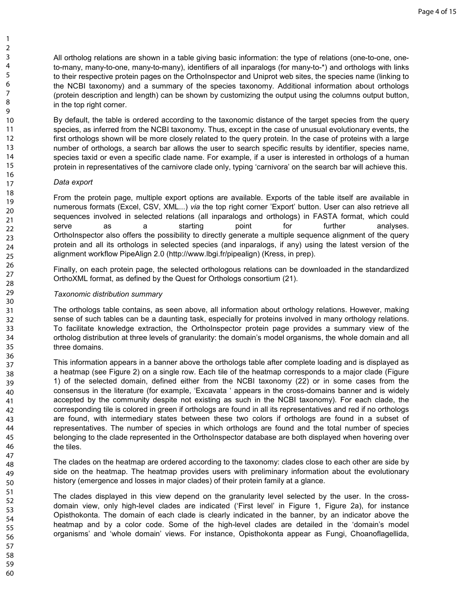All ortholog relations are shown in a table giving basic information: the type of relations (one-to-one, oneto-many, many-to-one, many-to-many), identifiers of all inparalogs (for many-to-\*) and orthologs with links to their respective protein pages on the OrthoInspector and Uniprot web sites, the species name (linking to the NCBI taxonomy) and a summary of the species taxonomy. Additional information about orthologs (protein description and length) can be shown by customizing the output using the columns output button, in the top right corner.

By default, the table is ordered according to the taxonomic distance of the target species from the query species, as inferred from the NCBI taxonomy. Thus, except in the case of unusual evolutionary events, the first orthologs shown will be more closely related to the query protein. In the case of proteins with a large number of orthologs, a search bar allows the user to search specific results by identifier, species name, species taxid or even a specific clade name. For example, if a user is interested in orthologs of a human protein in representatives of the carnivore clade only, typing 'carnivora' on the search bar will achieve this.

#### *Data export*

From the protein page, multiple export options are available. Exports of the table itself are available in numerous formats (Excel, CSV, XML...) *via* the top right corner 'Export' button. User can also retrieve all sequences involved in selected relations (all inparalogs and orthologs) in FASTA format, which could serve as a starting point for further analyses. OrthoInspector also offers the possibility to directly generate a multiple sequence alignment of the query protein and all its orthologs in selected species (and inparalogs, if any) using the latest version of the alignment workflow PipeAlign 2.0 (http://www.lbgi.fr/pipealign) (Kress, in prep).

Finally, on each protein page, the selected orthologous relations can be downloaded in the standardized OrthoXML format, as defined by the Quest for Orthologs consortium (21).

#### *Taxonomic distribution summary*

The orthologs table contains, as seen above, all information about orthology relations. However, making sense of such tables can be a daunting task, especially for proteins involved in many orthology relations. To facilitate knowledge extraction, the OrthoInspector protein page provides a summary view of the ortholog distribution at three levels of granularity: the domain's model organisms, the whole domain and all three domains.

This information appears in a banner above the orthologs table after complete loading and is displayed as a heatmap (see Figure 2) on a single row. Each tile of the heatmap corresponds to a major clade (Figure 1) of the selected domain, defined either from the NCBI taxonomy (22) or in some cases from the consensus in the literature (for example, 'Excavata ' appears in the cross-domains banner and is widely accepted by the community despite not existing as such in the NCBI taxonomy). For each clade, the corresponding tile is colored in green if orthologs are found in all its representatives and red if no orthologs are found, with intermediary states between these two colors if orthologs are found in a subset of representatives. The number of species in which orthologs are found and the total number of species belonging to the clade represented in the OrthoInspector database are both displayed when hovering over the tiles.

The clades on the heatmap are ordered according to the taxonomy: clades close to each other are side by side on the heatmap. The heatmap provides users with preliminary information about the evolutionary history (emergence and losses in major clades) of their protein family at a glance.

The clades displayed in this view depend on the granularity level selected by the user. In the crossdomain view, only high-level clades are indicated ('First level' in Figure 1, Figure 2a), for instance Opisthokonta. The domain of each clade is clearly indicated in the banner, by an indicator above the heatmap and by a color code. Some of the high-level clades are detailed in the 'domain's model organisms' and 'whole domain' views. For instance, Opisthokonta appear as Fungi, Choanoflagellida,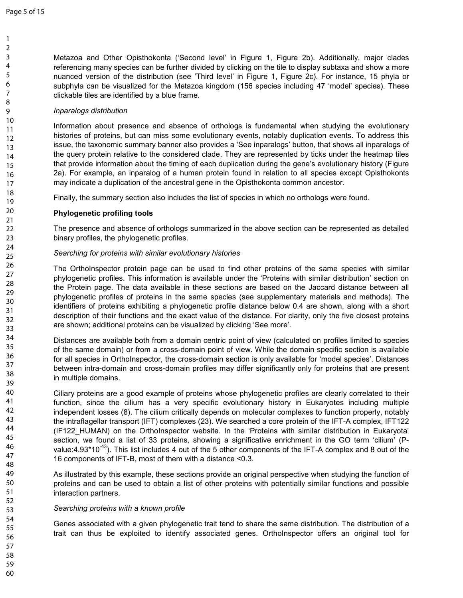Metazoa and Other Opisthokonta ('Second level' in Figure 1, Figure 2b). Additionally, major clades referencing many species can be further divided by clicking on the tile to display subtaxa and show a more nuanced version of the distribution (see 'Third level' in Figure 1, Figure 2c). For instance, 15 phyla or subphyla can be visualized for the Metazoa kingdom (156 species including 47 'model' species). These clickable tiles are identified by a blue frame.

#### *Inparalogs distribution*

Information about presence and absence of orthologs is fundamental when studying the evolutionary histories of proteins, but can miss some evolutionary events, notably duplication events. To address this issue, the taxonomic summary banner also provides a 'See inparalogs' button, that shows all inparalogs of the query protein relative to the considered clade. They are represented by ticks under the heatmap tiles that provide information about the timing of each duplication during the gene's evolutionary history (Figure 2a). For example, an inparalog of a human protein found in relation to all species except Opisthokonts may indicate a duplication of the ancestral gene in the Opisthokonta common ancestor.

Finally, the summary section also includes the list of species in which no orthologs were found.

## **Phylogenetic profiling tools**

The presence and absence of orthologs summarized in the above section can be represented as detailed binary profiles, the phylogenetic profiles.

## *Searching for proteins with similar evolutionary histories*

The OrthoInspector protein page can be used to find other proteins of the same species with similar phylogenetic profiles. This information is available under the 'Proteins with similar distribution' section on the Protein page. The data available in these sections are based on the Jaccard distance between all phylogenetic profiles of proteins in the same species (see supplementary materials and methods). The identifiers of proteins exhibiting a phylogenetic profile distance below 0.4 are shown, along with a short description of their functions and the exact value of the distance. For clarity, only the five closest proteins are shown; additional proteins can be visualized by clicking 'See more'.

Distances are available both from a domain centric point of view (calculated on profiles limited to species of the same domain) or from a cross-domain point of view. While the domain specific section is available for all species in OrthoInspector, the cross-domain section is only available for 'model species'. Distances between intra-domain and cross-domain profiles may differ significantly only for proteins that are present in multiple domains.

Ciliary proteins are a good example of proteins whose phylogenetic profiles are clearly correlated to their function, since the cilium has a very specific evolutionary history in Eukaryotes including multiple independent losses (8). The cilium critically depends on molecular complexes to function properly, notably the intraflagellar transport (IFT) complexes (23). We searched a core protein of the IFT-A complex, IFT122 (IF122\_HUMAN) on the OrthoInspector website. In the 'Proteins with similar distribution in Eukaryota' section, we found a list of 33 proteins, showing a significative enrichment in the GO term 'cilium' (Pvalue:4.93\*10<sup>-43</sup>). This list includes 4 out of the 5 other components of the IFT-A complex and 8 out of the 16 components of IFT-B, most of them with a distance <0.3.

As illustrated by this example, these sections provide an original perspective when studying the function of proteins and can be used to obtain a list of other proteins with potentially similar functions and possible interaction partners.

#### *Searching proteins with a known profile*

Genes associated with a given phylogenetic trait tend to share the same distribution. The distribution of a trait can thus be exploited to identify associated genes. OrthoInspector offers an original tool for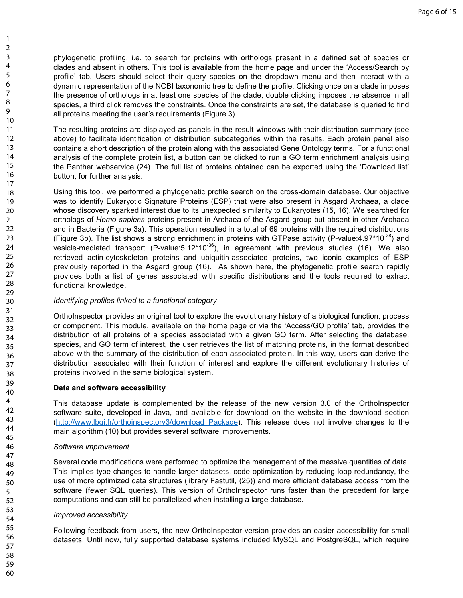phylogenetic profiling, i.e. to search for proteins with orthologs present in a defined set of species or clades and absent in others. This tool is available from the home page and under the 'Access/Search by profile' tab. Users should select their query species on the dropdown menu and then interact with a dynamic representation of the NCBI taxonomic tree to define the profile. Clicking once on a clade imposes the presence of orthologs in at least one species of the clade, double clicking imposes the absence in all species, a third click removes the constraints. Once the constraints are set, the database is queried to find all proteins meeting the user's requirements (Figure 3).

The resulting proteins are displayed as panels in the result windows with their distribution summary (see above) to facilitate identification of distribution subcategories within the results. Each protein panel also contains a short description of the protein along with the associated Gene Ontology terms. For a functional analysis of the complete protein list, a button can be clicked to run a GO term enrichment analysis using the Panther webservice (24). The full list of proteins obtained can be exported using the 'Download list' button, for further analysis.

Using this tool, we performed a phylogenetic profile search on the cross-domain database. Our objective was to identify Eukaryotic Signature Proteins (ESP) that were also present in Asgard Archaea, a clade whose discovery sparked interest due to its unexpected similarity to Eukaryotes (15, 16). We searched for orthologs of *Homo sapiens* proteins present in Archaea of the Asgard group but absent in other Archaea and in Bacteria (Figure 3a). This operation resulted in a total of 69 proteins with the required distributions (Figure 3b). The list shows a strong enrichment in proteins with GTPase activity (P-value: 4.97\*10<sup>-28</sup>) and vesicle-mediated transport (P-value:5.12\*10 $^{36}$ ), in agreement with previous studies (16). We also retrieved actin-cytoskeleton proteins and ubiquitin-associated proteins, two iconic examples of ESP previously reported in the Asgard group (16). As shown here, the phylogenetic profile search rapidly provides both a list of genes associated with specific distributions and the tools required to extract functional knowledge.

#### *Identifying profiles linked to a functional category*

OrthoInspector provides an original tool to explore the evolutionary history of a biological function, process or component. This module, available on the home page or via the 'Access/GO profile' tab, provides the distribution of all proteins of a species associated with a given GO term. After selecting the database, species, and GO term of interest, the user retrieves the list of matching proteins, in the format described above with the summary of the distribution of each associated protein. In this way, users can derive the distribution associated with their function of interest and explore the different evolutionary histories of proteins involved in the same biological system.

#### **Data and software accessibility**

This database update is complemented by the release of the new version 3.0 of the OrthoInspector software suite, developed in Java, and available for download on the website in the download section (http://www.lbgi.fr/orthoinspectorv3/download\_Package). This release does not involve changes to the main algorithm (10) but provides several software improvements.

#### *Software improvement*

Several code modifications were performed to optimize the management of the massive quantities of data. This implies type changes to handle larger datasets, code optimization by reducing loop redundancy, the use of more optimized data structures (library Fastutil, (25)) and more efficient database access from the software (fewer SQL queries). This version of OrthoInspector runs faster than the precedent for large computations and can still be parallelized when installing a large database.

#### *Improved accessibility*

Following feedback from users, the new OrthoInspector version provides an easier accessibility for small datasets. Until now, fully supported database systems included MySQL and PostgreSQL, which require

59 60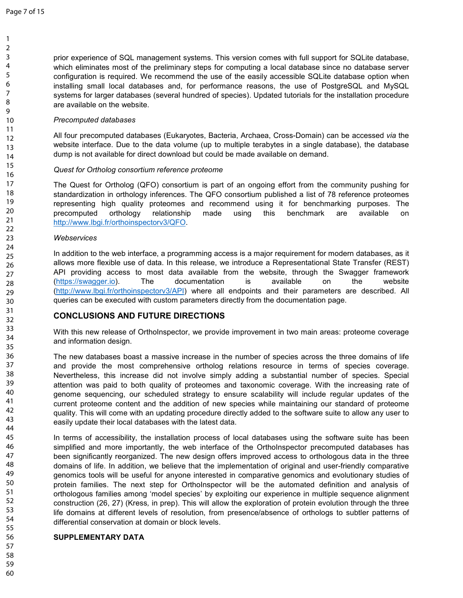prior experience of SQL management systems. This version comes with full support for SQLite database, which eliminates most of the preliminary steps for computing a local database since no database server configuration is required. We recommend the use of the easily accessible SQLite database option when installing small local databases and, for performance reasons, the use of PostgreSQL and MySQL systems for larger databases (several hundred of species). Updated tutorials for the installation procedure are available on the website.

#### *Precomputed databases*

All four precomputed databases (Eukaryotes, Bacteria, Archaea, Cross-Domain) can be accessed *via* the website interface. Due to the data volume (up to multiple terabytes in a single database), the database dump is not available for direct download but could be made available on demand.

#### *Quest for Ortholog consortium reference proteome*

The Quest for Ortholog (QFO) consortium is part of an ongoing effort from the community pushing for standardization in orthology inferences. The QFO consortium published a list of 78 reference proteomes representing high quality proteomes and recommend using it for benchmarking purposes. The precomputed orthology relationship made using this benchmark are available on http://www.lbgi.fr/orthoinspectorv3/QFO.

#### *Webservices*

In addition to the web interface, a programming access is a major requirement for modern databases, as it allows more flexible use of data. In this release, we introduce a Representational State Transfer (REST) API providing access to most data available from the website, through the Swagger framework (https://swagger.io). The documentation is available on the website (http://www.lbgi.fr/orthoinspectorv3/API) where all endpoints and their parameters are described. All queries can be executed with custom parameters directly from the documentation page.

## **CONCLUSIONS AND FUTURE DIRECTIONS**

With this new release of OrthoInspector, we provide improvement in two main areas: proteome coverage and information design.

The new databases boast a massive increase in the number of species across the three domains of life and provide the most comprehensive ortholog relations resource in terms of species coverage. Nevertheless, this increase did not involve simply adding a substantial number of species. Special attention was paid to both quality of proteomes and taxonomic coverage. With the increasing rate of genome sequencing, our scheduled strategy to ensure scalability will include regular updates of the current proteome content and the addition of new species while maintaining our standard of proteome quality. This will come with an updating procedure directly added to the software suite to allow any user to easily update their local databases with the latest data.

In terms of accessibility, the installation process of local databases using the software suite has been simplified and more importantly, the web interface of the OrthoInspector precomputed databases has been significantly reorganized. The new design offers improved access to orthologous data in the three domains of life. In addition, we believe that the implementation of original and user-friendly comparative genomics tools will be useful for anyone interested in comparative genomics and evolutionary studies of protein families. The next step for OrthoInspector will be the automated definition and analysis of orthologous families among 'model species' by exploiting our experience in multiple sequence alignment construction (26, 27) (Kress*,* in prep). This will allow the exploration of protein evolution through the three life domains at different levels of resolution, from presence/absence of orthologs to subtler patterns of differential conservation at domain or block levels.

#### **SUPPLEMENTARY DATA**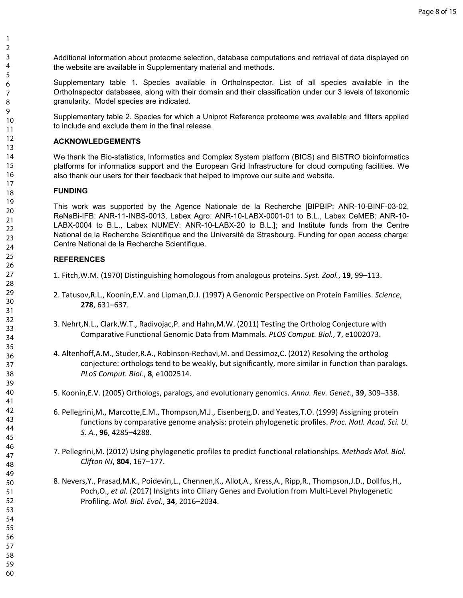Additional information about proteome selection, database computations and retrieval of data displayed on the website are available in Supplementary material and methods.

Supplementary table 1. Species available in OrthoInspector. List of all species available in the OrthoInspector databases, along with their domain and their classification under our 3 levels of taxonomic granularity. Model species are indicated.

Supplementary table 2. Species for which a Uniprot Reference proteome was available and filters applied to include and exclude them in the final release.

## **ACKNOWLEDGEMENTS**

We thank the Bio-statistics, Informatics and Complex System platform (BICS) and BISTRO bioinformatics platforms for informatics support and the European Grid Infrastructure for cloud computing facilities. We also thank our users for their feedback that helped to improve our suite and website.

#### **FUNDING**

This work was supported by the Agence Nationale de la Recherche [BIPBIP: ANR-10-BINF-03-02, ReNaBi-IFB: ANR-11-INBS-0013, Labex Agro: ANR-10-LABX-0001-01 to B.L., Labex CeMEB: ANR-10- LABX-0004 to B.L., Labex NUMEV: ANR-10-LABX-20 to B.L.]; and Institute funds from the Centre National de la Recherche Scientifique and the Université de Strasbourg. Funding for open access charge: Centre National de la Recherche Scientifique.

## **REFERENCES**

- 1. Fitch,W.M. (1970) Distinguishing homologous from analogous proteins. *Syst. Zool.*, **19**, 99–113.
- 2. Tatusov,R.L., Koonin,E.V. and Lipman,D.J. (1997) A Genomic Perspective on Protein Families. *Science*, , 631–637.
- 3. Nehrt,N.L., Clark,W.T., Radivojac,P. and Hahn,M.W. (2011) Testing the Ortholog Conjecture with Comparative Functional Genomic Data from Mammals. *PLOS Comput. Biol.*, **7**, e1002073.
- 4. Altenhoff,A.M., Studer,R.A., Robinson-Rechavi,M. and Dessimoz,C. (2012) Resolving the ortholog conjecture: orthologs tend to be weakly, but significantly, more similar in function than paralogs. *PLoS Comput. Biol.*, **8**, e1002514.
- 5. Koonin,E.V. (2005) Orthologs, paralogs, and evolutionary genomics. *Annu. Rev. Genet.*, **39**, 309–338.
- 6. Pellegrini,M., Marcotte,E.M., Thompson,M.J., Eisenberg,D. and Yeates,T.O. (1999) Assigning protein functions by comparative genome analysis: protein phylogenetic profiles. *Proc. Natl. Acad. Sci. U. S. A.*, **96**, 4285–4288.
- 7. Pellegrini,M. (2012) Using phylogenetic profiles to predict functional relationships. *Methods Mol. Biol. Clifton NJ*, **804**, 167–177.
- 8. Nevers,Y., Prasad,M.K., Poidevin,L., Chennen,K., Allot,A., Kress,A., Ripp,R., Thompson,J.D., Dollfus,H., Poch,O., *et al.* (2017) Insights into Ciliary Genes and Evolution from Multi-Level Phylogenetic Profiling. *Mol. Biol. Evol.*, **34**, 2016–2034.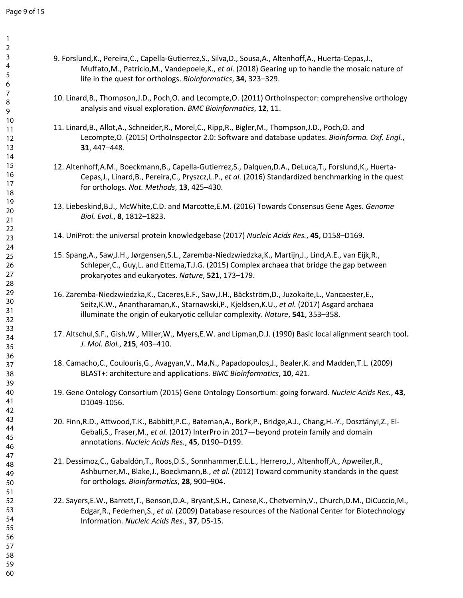| 9. Forslund, K., Pereira, C., Capella-Gutierrez, S., Silva, D., Sousa, A., Altenhoff, A., Huerta-Cepas, J.,<br>Muffato, M., Patricio, M., Vandepoele, K., et al. (2018) Gearing up to handle the mosaic nature of<br>life in the quest for orthologs. Bioinformatics, 34, 323-329.     |
|----------------------------------------------------------------------------------------------------------------------------------------------------------------------------------------------------------------------------------------------------------------------------------------|
| 10. Linard, B., Thompson, J.D., Poch, O. and Lecompte, O. (2011) OrthoInspector: comprehensive orthology<br>analysis and visual exploration. BMC Bioinformatics, 12, 11.                                                                                                               |
| 11. Linard, B., Allot, A., Schneider, R., Morel, C., Ripp, R., Bigler, M., Thompson, J.D., Poch, O. and<br>Lecompte, O. (2015) OrthoInspector 2.0: Software and database updates. Bioinforma. Oxf. Engl.,<br>31, 447-448.                                                              |
| 12. Altenhoff, A.M., Boeckmann, B., Capella-Gutierrez, S., Dalquen, D.A., DeLuca, T., Forslund, K., Huerta-<br>Cepas, J., Linard, B., Pereira, C., Pryszcz, L.P., et al. (2016) Standardized benchmarking in the quest<br>for orthologs. Nat. Methods, 13, 425-430.                    |
| 13. Liebeskind, B.J., McWhite, C.D. and Marcotte, E.M. (2016) Towards Consensus Gene Ages. Genome<br>Biol. Evol., 8, 1812-1823.                                                                                                                                                        |
| 14. UniProt: the universal protein knowledgebase (2017) Nucleic Acids Res., 45, D158-D169.                                                                                                                                                                                             |
| 15. Spang, A., Saw, J.H., Jørgensen, S.L., Zaremba-Niedzwiedzka, K., Martijn, J., Lind, A.E., van Eijk, R.,<br>Schleper, C., Guy, L. and Ettema, T.J.G. (2015) Complex archaea that bridge the gap between<br>prokaryotes and eukaryotes. Nature, 521, 173-179.                        |
| 16. Zaremba-Niedzwiedzka, K., Caceres, E.F., Saw, J.H., Bäckström, D., Juzokaite, L., Vancaester, E.,<br>Seitz, K.W., Anantharaman, K., Starnawski, P., Kjeldsen, K.U., et al. (2017) Asgard archaea<br>illuminate the origin of eukaryotic cellular complexity. Nature, 541, 353-358. |
| 17. Altschul, S.F., Gish, W., Miller, W., Myers, E.W. and Lipman, D.J. (1990) Basic local alignment search tool.<br>J. Mol. Biol., 215, 403-410.                                                                                                                                       |
| 18. Camacho, C., Coulouris, G., Avagyan, V., Ma, N., Papadopoulos, J., Bealer, K. and Madden, T.L. (2009)<br>BLAST+: architecture and applications. BMC Bioinformatics, 10, 421.                                                                                                       |
| 19. Gene Ontology Consortium (2015) Gene Ontology Consortium: going forward. Nucleic Acids Res., 43,<br>D1049-1056.                                                                                                                                                                    |
| 20. Finn, R.D., Attwood, T.K., Babbitt, P.C., Bateman, A., Bork, P., Bridge, A.J., Chang, H.-Y., Dosztányi, Z., El-<br>Gebali, S., Fraser, M., et al. (2017) InterPro in 2017 - beyond protein family and domain<br>annotations. Nucleic Acids Res., 45, D190-D199.                    |
| 21. Dessimoz, C., Gabaldón, T., Roos, D.S., Sonnhammer, E.L.L., Herrero, J., Altenhoff, A., Apweiler, R.,<br>Ashburner, M., Blake, J., Boeckmann, B., et al. (2012) Toward community standards in the quest<br>for orthologs. Bioinformatics, 28, 900-904.                             |
| 22. Sayers, E.W., Barrett, T., Benson, D.A., Bryant, S.H., Canese, K., Chetvernin, V., Church, D.M., DiCuccio, M.,<br>Edgar, R., Federhen, S., et al. (2009) Database resources of the National Center for Biotechnology<br>Information. Nucleic Acids Res., 37, D5-15.                |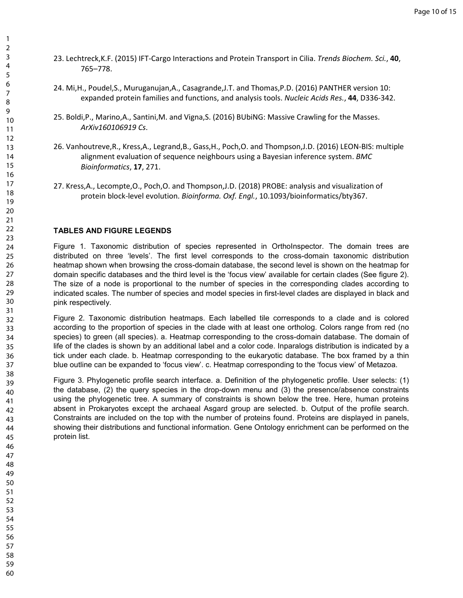- 23. Lechtreck,K.F. (2015) IFT-Cargo Interactions and Protein Transport in Cilia. *Trends Biochem. Sci.*, **40**, 765–778.
- 24. Mi,H., Poudel,S., Muruganujan,A., Casagrande,J.T. and Thomas,P.D. (2016) PANTHER version 10: expanded protein families and functions, and analysis tools. *Nucleic Acids Res.*, **44**, D336-342.
- 25. Boldi,P., Marino,A., Santini,M. and Vigna,S. (2016) BUbiNG: Massive Crawling for the Masses. *ArXiv160106919 Cs*.
- 26. Vanhoutreve,R., Kress,A., Legrand,B., Gass,H., Poch,O. and Thompson,J.D. (2016) LEON-BIS: multiple alignment evaluation of sequence neighbours using a Bayesian inference system. *BMC Bioinformatics*, **17**, 271.
- 27. Kress,A., Lecompte,O., Poch,O. and Thompson,J.D. (2018) PROBE: analysis and visualization of protein block-level evolution. *Bioinforma. Oxf. Engl.*, 10.1093/bioinformatics/bty367.

## **TABLES AND FIGURE LEGENDS**

Figure 1. Taxonomic distribution of species represented in OrthoInspector. The domain trees are distributed on three 'levels'. The first level corresponds to the cross-domain taxonomic distribution heatmap shown when browsing the cross-domain database, the second level is shown on the heatmap for domain specific databases and the third level is the 'focus view' available for certain clades (See figure 2). The size of a node is proportional to the number of species in the corresponding clades according to indicated scales. The number of species and model species in first-level clades are displayed in black and pink respectively.

Figure 2. Taxonomic distribution heatmaps. Each labelled tile corresponds to a clade and is colored according to the proportion of species in the clade with at least one ortholog. Colors range from red (no species) to green (all species). a. Heatmap corresponding to the cross-domain database. The domain of life of the clades is shown by an additional label and a color code. Inparalogs distribution is indicated by a tick under each clade. b. Heatmap corresponding to the eukaryotic database. The box framed by a thin blue outline can be expanded to 'focus view'. c. Heatmap corresponding to the 'focus view' of Metazoa.

Figure 3. Phylogenetic profile search interface. a. Definition of the phylogenetic profile. User selects: (1) the database, (2) the query species in the drop-down menu and (3) the presence/absence constraints using the phylogenetic tree. A summary of constraints is shown below the tree. Here, human proteins absent in Prokaryotes except the archaeal Asgard group are selected. b. Output of the profile search. Constraints are included on the top with the number of proteins found. Proteins are displayed in panels, showing their distributions and functional information. Gene Ontology enrichment can be performed on the protein list.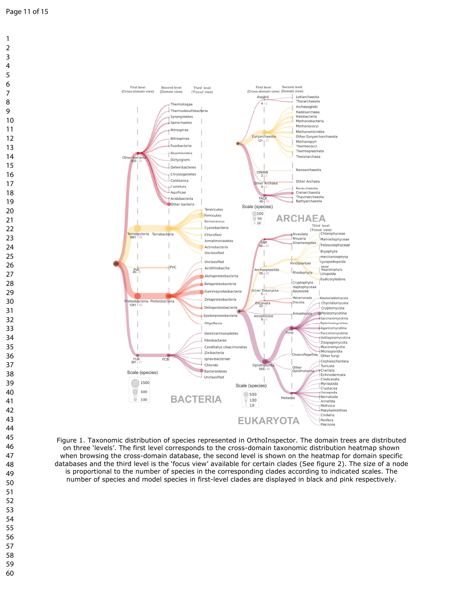

Figure 1. Taxonomic distribution of species represented in OrthoInspector. The domain trees are distributed on three 'levels'. The first level corresponds to the cross-domain taxonomic distribution heatmap shown when browsing the cross-domain database, the second level is shown on the heatmap for domain specific databases and the third level is the 'focus view' available for certain clades (See figure 2). The size of a node is proportional to the number of species in the corresponding clades according to indicated scales. The number of species and model species in first-level clades are displayed in black and pink respectively.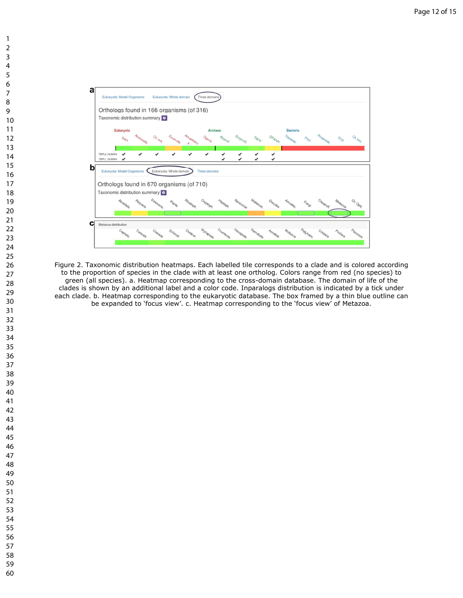

to the proportion of species in the clade with at least one ortholog. Colors range from red (no species) to green (all species). a. Heatmap corresponding to the cross-domain database. The domain of life of the clades is shown by an additional label and a color code. Inparalogs distribution is indicated by a tick under each clade. b. Heatmap corresponding to the eukaryotic database. The box framed by a thin blue outline can be expanded to 'focus view'. c. Heatmap corresponding to the 'focus view' of Metazoa.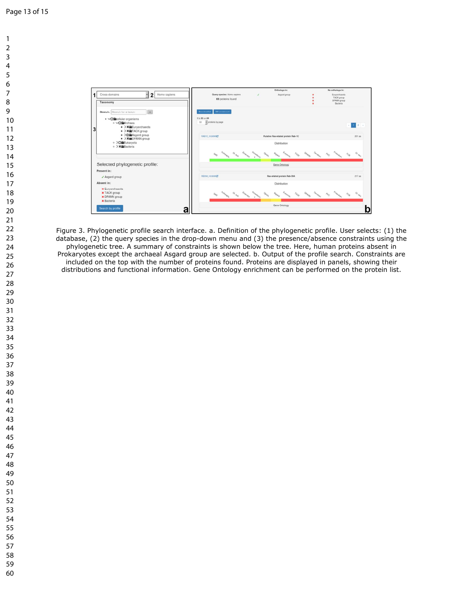

Figure 3. Phylogenetic profile search interface. a. Definition of the phylogenetic profile. User selects: (1) the database, (2) the query species in the drop-down menu and (3) the presence/absence constraints using the phylogenetic tree. A summary of constraints is shown below the tree. Here, human proteins absent in Prokaryotes except the archaeal Asgard group are selected. b. Output of the profile search. Constraints are included on the top with the number of proteins found. Proteins are displayed in panels, showing their distributions and functional information. Gene Ontology enrichment can be performed on the protein list.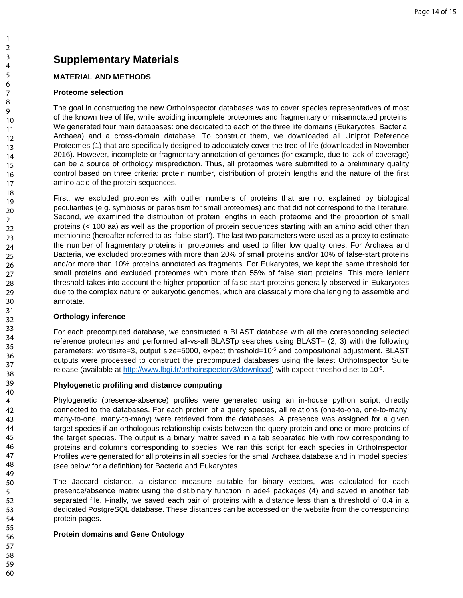# **Supplementary Materials**

## **MATERIAL AND METHODS**

## **Proteome selection**

The goal in constructing the new OrthoInspector databases was to cover species representatives of most of the known tree of life, while avoiding incomplete proteomes and fragmentary or misannotated proteins. We generated four main databases: one dedicated to each of the three life domains (Eukaryotes, Bacteria, Archaea) and a cross-domain database. To construct them, we downloaded all Uniprot Reference Proteomes (1) that are specifically designed to adequately cover the tree of life (downloaded in November 2016). However, incomplete or fragmentary annotation of genomes (for example, due to lack of coverage) can be a source of orthology misprediction. Thus, all proteomes were submitted to a preliminary quality control based on three criteria: protein number, distribution of protein lengths and the nature of the first amino acid of the protein sequences.

First, we excluded proteomes with outlier numbers of proteins that are not explained by biological peculiarities (e.g. symbiosis or parasitism for small proteomes) and that did not correspond to the literature. Second, we examined the distribution of protein lengths in each proteome and the proportion of small proteins (< 100 aa) as well as the proportion of protein sequences starting with an amino acid other than methionine (hereafter referred to as 'false-start'). The last two parameters were used as a proxy to estimate the number of fragmentary proteins in proteomes and used to filter low quality ones. For Archaea and Bacteria, we excluded proteomes with more than 20% of small proteins and/or 10% of false-start proteins and/or more than 10% proteins annotated as fragments. For Eukaryotes, we kept the same threshold for small proteins and excluded proteomes with more than 55% of false start proteins. This more lenient threshold takes into account the higher proportion of false start proteins generally observed in Eukaryotes due to the complex nature of eukaryotic genomes, which are classically more challenging to assemble and annotate.

## **Orthology inference**

For each precomputed database, we constructed a BLAST database with all the corresponding selected reference proteomes and performed all-vs-all BLASTp searches using BLAST+ (2, 3) with the following parameters: wordsize=3, output size=5000, expect threshold= $10^{-5}$  and compositional adjustment. BLAST outputs were processed to construct the precomputed databases using the latest OrthoInspector Suite release (available at [http://www.lbgi.fr/orthoinspectorv3/download\)](http://www.lbgi.fr/orthoinspectorv3/download) with expect threshold set to 10-5.

## **Phylogenetic profiling and distance computing**

Phylogenetic (presence-absence) profiles were generated using an in-house python script, directly connected to the databases. For each protein of a query species, all relations (one-to-one, one-to-many, many-to-one, many-to-many) were retrieved from the databases. A presence was assigned for a given target species if an orthologous relationship exists between the query protein and one or more proteins of the target species. The output is a binary matrix saved in a tab separated file with row corresponding to proteins and columns corresponding to species. We ran this script for each species in OrthoInspector. Profiles were generated for all proteins in all species for the small Archaea database and in 'model species' (see below for a definition) for Bacteria and Eukaryotes.

The Jaccard distance, a distance measure suitable for binary vectors, was calculated for each presence/absence matrix using the dist.binary function in ade4 packages (4) and saved in another tab separated file. Finally, we saved each pair of proteins with a distance less than a threshold of 0.4 in a dedicated PostgreSQL database. These distances can be accessed on the website from the corresponding protein pages.

## **Protein domains and Gene Ontology**